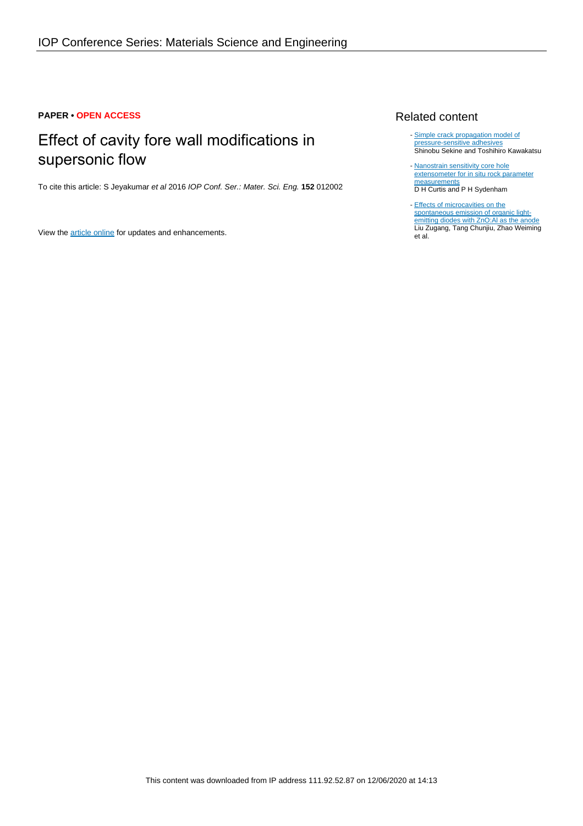# **PAPER • OPEN ACCESS**

# Effect of cavity fore wall modifications in supersonic flow

To cite this article: S Jeyakumar et al 2016 IOP Conf. Ser.: Mater. Sci. Eng. **152** 012002

View the [article online](https://doi.org/10.1088/1757-899X/152/1/012002) for updates and enhancements.

# Related content

- [Simple crack propagation model of](http://iopscience.iop.org/article/10.1088/2043-6262/4/2/025016) [pressure-sensitive adhesives](http://iopscience.iop.org/article/10.1088/2043-6262/4/2/025016) Shinobu Sekine and Toshihiro Kawakatsu
- [Nanostrain sensitivity core hole](http://iopscience.iop.org/article/10.1088/0022-3735/9/3/008) [extensometer for in situ rock parameter](http://iopscience.iop.org/article/10.1088/0022-3735/9/3/008) [measurements](http://iopscience.iop.org/article/10.1088/0022-3735/9/3/008) D H Curtis and P H Sydenham -
- [Effects of microcavities on the](http://iopscience.iop.org/article/10.1088/0953-8984/10/26/025) [spontaneous emission of organic light](http://iopscience.iop.org/article/10.1088/0953-8984/10/26/025)[emitting diodes with ZnO:Al as the anode](http://iopscience.iop.org/article/10.1088/0953-8984/10/26/025) Liu Zugang, Tang Chunjiu, Zhao Weiming et al. -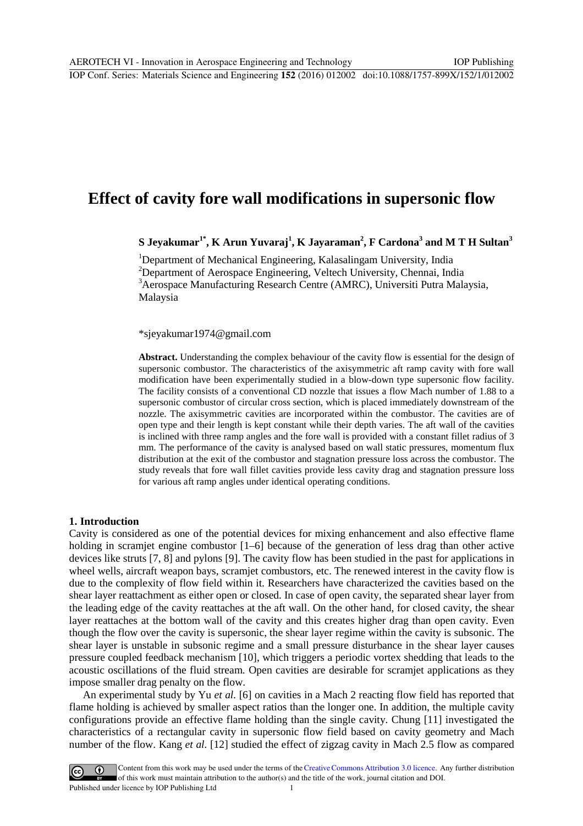# **Effect of cavity fore wall modifications in supersonic flow**

**S Jeyakumar1\*, K Arun Yuvaraj<sup>1</sup> , K Jayaraman<sup>2</sup> , F Cardona<sup>3</sup> and M T H Sultan<sup>3</sup>**

<sup>1</sup>Department of Mechanical Engineering, Kalasalingam University, India <sup>2</sup>Department of Aerospace Engineering, Veltech University, Chennai, India <sup>3</sup>Aerospace Manufacturing Research Centre (AMRC), Universiti Putra Malaysia, Malaysia

\*sjeyakumar1974@gmail.com

**Abstract.** Understanding the complex behaviour of the cavity flow is essential for the design of supersonic combustor. The characteristics of the axisymmetric aft ramp cavity with fore wall modification have been experimentally studied in a blow-down type supersonic flow facility. The facility consists of a conventional CD nozzle that issues a flow Mach number of 1.88 to a supersonic combustor of circular cross section, which is placed immediately downstream of the nozzle. The axisymmetric cavities are incorporated within the combustor. The cavities are of open type and their length is kept constant while their depth varies. The aft wall of the cavities is inclined with three ramp angles and the fore wall is provided with a constant fillet radius of 3 mm. The performance of the cavity is analysed based on wall static pressures, momentum flux distribution at the exit of the combustor and stagnation pressure loss across the combustor. The study reveals that fore wall fillet cavities provide less cavity drag and stagnation pressure loss for various aft ramp angles under identical operating conditions.

## **1. Introduction**

Cavity is considered as one of the potential devices for mixing enhancement and also effective flame holding in scramjet engine combustor [1–6] because of the generation of less drag than other active devices like struts [7, 8] and pylons [9]. The cavity flow has been studied in the past for applications in wheel wells, aircraft weapon bays, scramjet combustors, etc. The renewed interest in the cavity flow is due to the complexity of flow field within it. Researchers have characterized the cavities based on the shear layer reattachment as either open or closed. In case of open cavity, the separated shear layer from the leading edge of the cavity reattaches at the aft wall. On the other hand, for closed cavity, the shear layer reattaches at the bottom wall of the cavity and this creates higher drag than open cavity. Even though the flow over the cavity is supersonic, the shear layer regime within the cavity is subsonic. The shear layer is unstable in subsonic regime and a small pressure disturbance in the shear layer causes pressure coupled feedback mechanism [10], which triggers a periodic vortex shedding that leads to the acoustic oscillations of the fluid stream. Open cavities are desirable for scramjet applications as they impose smaller drag penalty on the flow.

An experimental study by Yu *et al.* [6] on cavities in a Mach 2 reacting flow field has reported that flame holding is achieved by smaller aspect ratios than the longer one. In addition, the multiple cavity configurations provide an effective flame holding than the single cavity. Chung [11] investigated the characteristics of a rectangular cavity in supersonic flow field based on cavity geometry and Mach number of the flow. Kang *et al.* [12] studied the effect of zigzag cavity in Mach 2.5 flow as compared

Content from this work may be used under the terms of theCreative Commons Attribution 3.0 licence. Any further distribution  $\left(\mathrm{cc}\right)$ of this work must maintain attribution to the author(s) and the title of the work, journal citation and DOI. Published under licence by IOP Publishing Ltd 1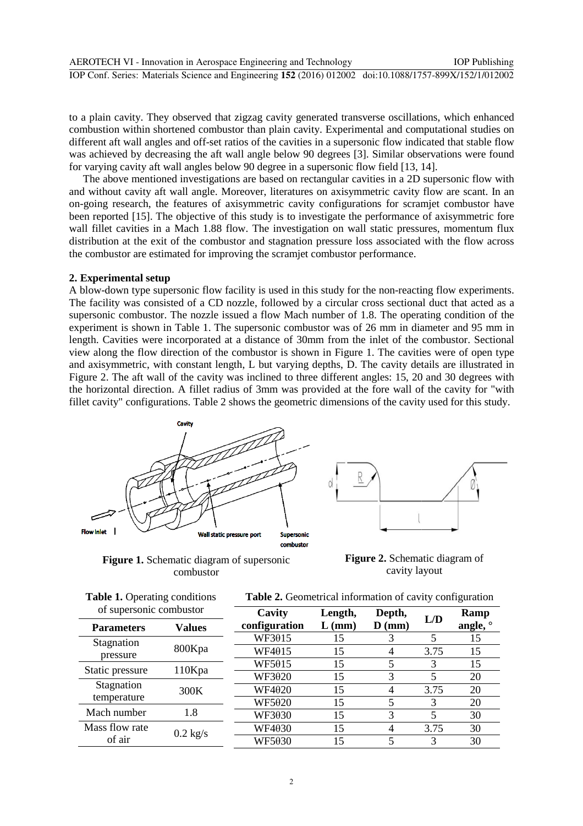to a plain cavity. They observed that zigzag cavity generated transverse oscillations, which enhanced combustion within shortened combustor than plain cavity. Experimental and computational studies on different aft wall angles and off-set ratios of the cavities in a supersonic flow indicated that stable flow was achieved by decreasing the aft wall angle below 90 degrees [3]. Similar observations were found for varying cavity aft wall angles below 90 degree in a supersonic flow field [13, 14].

The above mentioned investigations are based on rectangular cavities in a 2D supersonic flow with and without cavity aft wall angle. Moreover, literatures on axisymmetric cavity flow are scant. In an on-going research, the features of axisymmetric cavity configurations for scramjet combustor have been reported [15]. The objective of this study is to investigate the performance of axisymmetric fore wall fillet cavities in a Mach 1.88 flow. The investigation on wall static pressures, momentum flux wall fillet cavities in a Mach 1.88 flow. The investigation on wall static pressures, momentum flux distribution at the exit of the combustor and stagnation pressure loss associated with the flow across the combustor are estimated for improving the scramjet combustor performance. nvestigation on wall static pressures, momentum flux<br>agnation pressure loss associated with the flow across<br>cramjet combustor performance.<br>sed in this study for the non-reacting flow experiments.<br>owed by a circular cross s

# **2. Experimental setup**

A blow-down type supersonic flow facility is used in this study for the non-reacting flow experiments. The facility was consisted of a CD nozzle, followed by a circular cross sectional duct supersonic combustor. The nozzle issued a flow Mach number of 1.8. The operating condition of the supersonic combustor. The nozzle issued a flow Mach number of 1.8. The operating condition of the experiment is shown in Table 1. The supersonic combustor was of 26 mm in diameter and 95 mm in length. Cavities were incorporated at a distance of 30mm from the inlet of the combustor. Sectional view along the flow direction of the combustor is shown in Figure 1. The cavities were of open type length. Cavities were incorporated at a distance of 30mm from the inlet of the combustor. Sectional view along the flow direction of the combustor is shown in Figure 1. The cavities were of open type and axisymmetric, with Figure 2. The aft wall of the cavity was inclined to three different angles: 15, 20 and 30 degrees with the horizontal direction. A fillet radius of 3mm was provided at the fore wall of the cavity for "with fillet cavity" configurations. Table 2 shows the geometric dimensions of the cavity used for this study.



Figure 1. Schematic diagram of supersonic combustor



**Figure 2.** Schematic diagram of cavity layout ayout

| <b>Table 1.</b> Operating conditions<br>of supersonic combustor |                    | <b>Table 2.</b> Geometrical information of cavity configuration |          |               |      |                   |
|-----------------------------------------------------------------|--------------------|-----------------------------------------------------------------|----------|---------------|------|-------------------|
|                                                                 |                    | Cavity                                                          | Length,  | Depth,        | L/D  | Ramp              |
| <b>Parameters</b>                                               | <b>Values</b>      | configuration                                                   | $L$ (mm) | $\bf{D}$ (mm) |      | angle, $^{\circ}$ |
| Stagnation<br>pressure                                          | 800Kpa             | WF3015                                                          | 15       | 3             | 5    | 15                |
|                                                                 |                    | WF4015                                                          | 15       | 4             | 3.75 | 15                |
| Static pressure                                                 | 110Kpa             | WF5015                                                          | 15       | 5             | 3    | 15                |
|                                                                 |                    | WF3020                                                          | 15       | 3             | 5    | 20                |
| Stagnation                                                      | 300K<br>1.8        | WF4θ20                                                          | 15       | 4             | 3.75 | 20                |
| temperature                                                     |                    | <b>WF5020</b>                                                   | 15       | 5             | 3    | 20                |
| Mach number                                                     |                    | WF3030                                                          | 15       | 3             | 5    | 30                |
| Mass flow rate<br>of air                                        | $0.2 \text{ kg/s}$ | WF4030                                                          | 15       | 4             | 3.75 | 30                |
|                                                                 |                    | WF5030                                                          | 15       | 5             | 3    | 30                |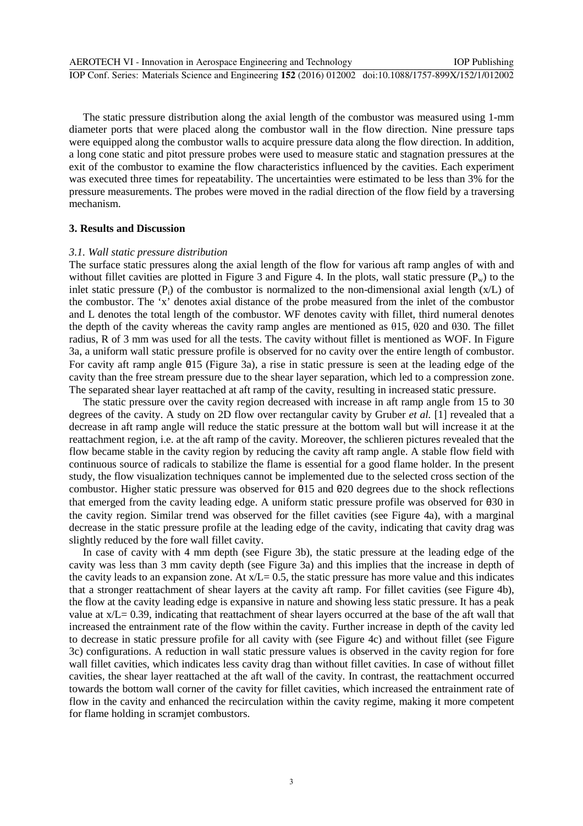The static pressure distribution along the axial length of the combustor was measured using 1-mm diameter ports that were placed along the combustor wall in the flow direction. Nine pressure taps were equipped along the combustor walls to acquire pressure data along the flow direction. In addition, a long cone static and pitot pressure probes were used to measure static and stagnation pressures at the exit of the combustor to examine the flow characteristics influenced by the cavities. Each experiment was executed three times for repeatability. The uncertainties were estimated to be less than 3% for the pressure measurements. The probes were moved in the radial direction of the flow field by a traversing mechanism.

### **3. Results and Discussion**

#### *3.1. Wall static pressure distribution*

The surface static pressures along the axial length of the flow for various aft ramp angles of with and without fillet cavities are plotted in Figure 3 and Figure 4. In the plots, wall static pressure  $(P_w)$  to the inlet static pressure (P<sub>i</sub>) of the combustor is normalized to the non-dimensional axial length (x/L) of the combustor. The 'x' denotes axial distance of the probe measured from the inlet of the combustor and L denotes the total length of the combustor. WF denotes cavity with fillet, third numeral denotes the depth of the cavity whereas the cavity ramp angles are mentioned as θ15, θ20 and θ30. The fillet radius, R of 3 mm was used for all the tests. The cavity without fillet is mentioned as WOF. In Figure 3a, a uniform wall static pressure profile is observed for no cavity over the entire length of combustor. For cavity aft ramp angle θ15 (Figure 3a), a rise in static pressure is seen at the leading edge of the cavity than the free stream pressure due to the shear layer separation, which led to a compression zone. The separated shear layer reattached at aft ramp of the cavity, resulting in increased static pressure.

The static pressure over the cavity region decreased with increase in aft ramp angle from 15 to 30 degrees of the cavity. A study on 2D flow over rectangular cavity by Gruber *et al.* [1] revealed that a decrease in aft ramp angle will reduce the static pressure at the bottom wall but will increase it at the reattachment region, i.e. at the aft ramp of the cavity. Moreover, the schlieren pictures revealed that the flow became stable in the cavity region by reducing the cavity aft ramp angle. A stable flow field with continuous source of radicals to stabilize the flame is essential for a good flame holder. In the present study, the flow visualization techniques cannot be implemented due to the selected cross section of the combustor. Higher static pressure was observed for θ15 and θ20 degrees due to the shock reflections that emerged from the cavity leading edge. A uniform static pressure profile was observed for θ30 in the cavity region. Similar trend was observed for the fillet cavities (see Figure 4a), with a marginal decrease in the static pressure profile at the leading edge of the cavity, indicating that cavity drag was slightly reduced by the fore wall fillet cavity.

In case of cavity with 4 mm depth (see Figure 3b), the static pressure at the leading edge of the cavity was less than 3 mm cavity depth (see Figure 3a) and this implies that the increase in depth of the cavity leads to an expansion zone. At  $x/L = 0.5$ , the static pressure has more value and this indicates that a stronger reattachment of shear layers at the cavity aft ramp. For fillet cavities (see Figure 4b), the flow at the cavity leading edge is expansive in nature and showing less static pressure. It has a peak value at x/L= 0.39, indicating that reattachment of shear layers occurred at the base of the aft wall that increased the entrainment rate of the flow within the cavity. Further increase in depth of the cavity led to decrease in static pressure profile for all cavity with (see Figure 4c) and without fillet (see Figure 3c) configurations. A reduction in wall static pressure values is observed in the cavity region for fore wall fillet cavities, which indicates less cavity drag than without fillet cavities. In case of without fillet cavities, the shear layer reattached at the aft wall of the cavity. In contrast, the reattachment occurred towards the bottom wall corner of the cavity for fillet cavities, which increased the entrainment rate of flow in the cavity and enhanced the recirculation within the cavity regime, making it more competent for flame holding in scramjet combustors.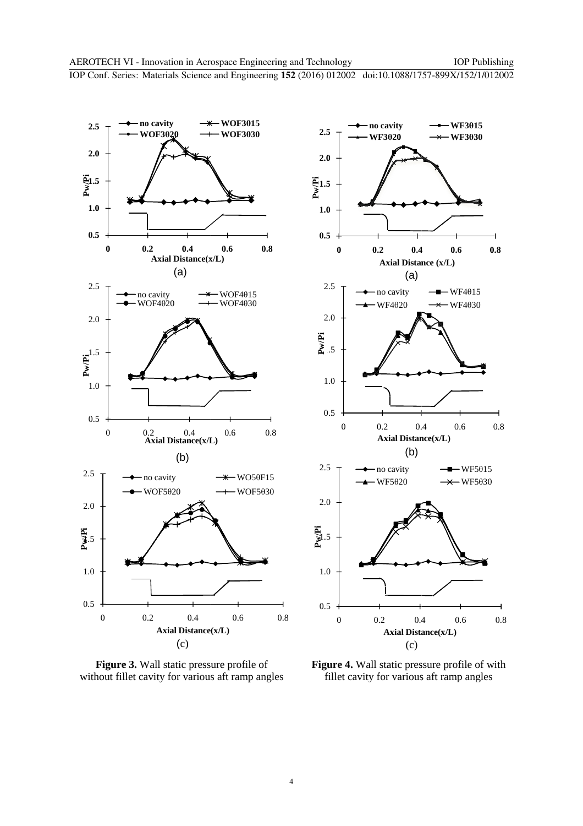

**Figure 3.** Wall static pressure profile of without fillet cavity for various aft ramp angles



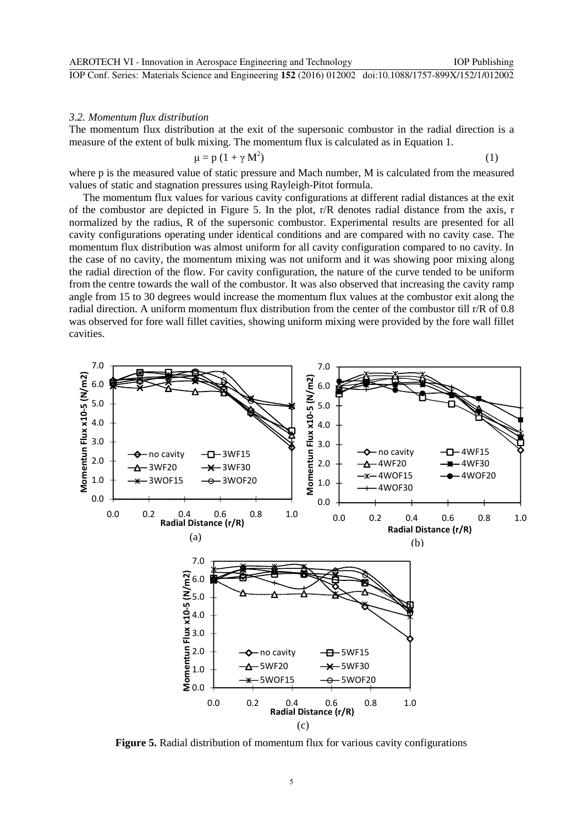#### *3.2. Momentum flux distribution*

The momentum flux distribution at the exit of the supersonic combustor in the radial direction is a measure of the extent of bulk mixing. The momentum flux is calculated as in Equation 1.

$$
\mu = p (1 + \gamma M^2) \tag{1}
$$

where p is the measured value of static pressure and Mach number, M is calculated from the measured values of static and stagnation pressures using Rayleigh-Pitot formula.

The momentum flux values for various cavity configurations at different radial distances at the exit of the combustor are depicted in Figure 5. In the plot, r/R denotes radial distance from the axis, r normalized by the radius, R of the supersonic combustor. Experimental results are presented for all cavity configurations operating under identical conditions and are compared with no cavity case. The momentum flux distribution was almost uniform for all cavity configuration compared to no cavity. In the case of no cavity, the momentum mixing was not uniform and it was showing poor mixing along the radial direction of the flow. For cavity configuration, the nature of the curve tended to be uniform from the centre towards the wall of the combustor. It was also observed that increasing the cavity ramp angle from 15 to 30 degrees would increase the momentum flux values at the combustor exit along the radial direction. A uniform momentum flux distribution from the center of the combustor till r/R of 0.8 was observed for fore wall fillet cavities, showing uniform mixing were provided by the fore wall fillet cavities.



**Figure 5.** Radial distribution of momentum flux for various cavity configurations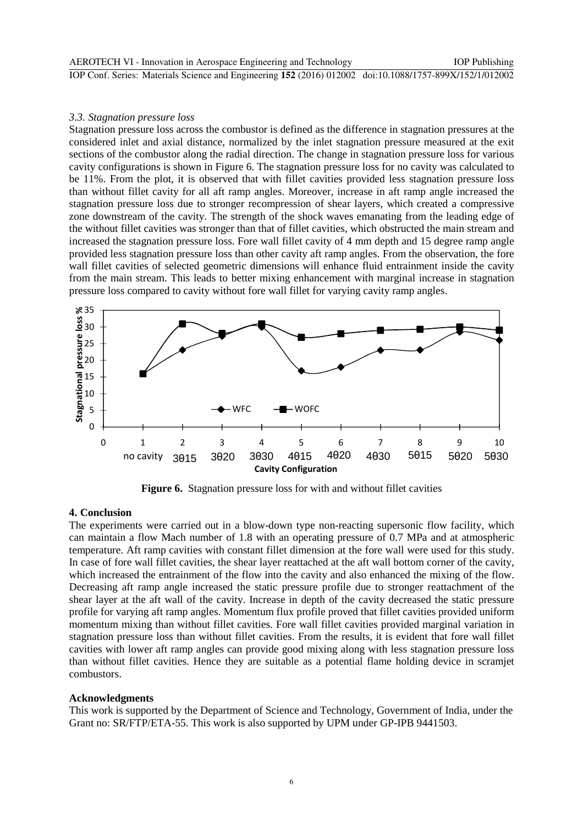## *3.3. Stagnation pressure loss*

Stagnation pressure loss across the combustor is defined as the difference in stagnation pressures at the considered inlet and axial distance, normalized by the inlet stagnation pressure measured at the exit sections of the combustor along the radial direction. The change in stagnation pressure loss for various cavity configurations is shown in Figure 6. The stagnation pressure loss for no cavity was calculated to be 11%. From the plot, it is observed that with fillet cavities provided less stagnation pressure loss than without fillet cavity for all aft ramp angles. Moreover, increase in aft ramp angle increased the stagnation pressure loss due to stronger recompression of shear layers, which created a compressive zone downstream of the cavity. The strength of the shock waves emanating from the leading edge of the without fillet cavities was stronger than that of fillet cavities, which obstructed the main stream and increased the stagnation pressure loss. Fore wall fillet cavity of 4 mm depth and 15 degree ramp angle provided less stagnation pressure loss than other cavity aft ramp angles. From the observation, the fore wall fillet cavities of selected geometric dimensions will enhance fluid entrainment inside the cavity from the main stream. This leads to better mixing enhancement with marginal increase in stagnation pressure loss compared to cavity without fore wall fillet for varying cavity ramp angles.



**Figure 6.** Stagnation pressure loss for with and without fillet cavities

# **4. Conclusion**

The experiments were carried out in a blow-down type non-reacting supersonic flow facility, which can maintain a flow Mach number of 1.8 with an operating pressure of 0.7 MPa and at atmospheric temperature. Aft ramp cavities with constant fillet dimension at the fore wall were used for this study. In case of fore wall fillet cavities, the shear layer reattached at the aft wall bottom corner of the cavity, which increased the entrainment of the flow into the cavity and also enhanced the mixing of the flow. Decreasing aft ramp angle increased the static pressure profile due to stronger reattachment of the shear layer at the aft wall of the cavity. Increase in depth of the cavity decreased the static pressure profile for varying aft ramp angles. Momentum flux profile proved that fillet cavities provided uniform momentum mixing than without fillet cavities. Fore wall fillet cavities provided marginal variation in stagnation pressure loss than without fillet cavities. From the results, it is evident that fore wall fillet cavities with lower aft ramp angles can provide good mixing along with less stagnation pressure loss than without fillet cavities. Hence they are suitable as a potential flame holding device in scramjet combustors.

# **Acknowledgments**

This work is supported by the Department of Science and Technology, Government of India, under the Grant no: SR/FTP/ETA-55. This work is also supported by UPM under GP-IPB 9441503.